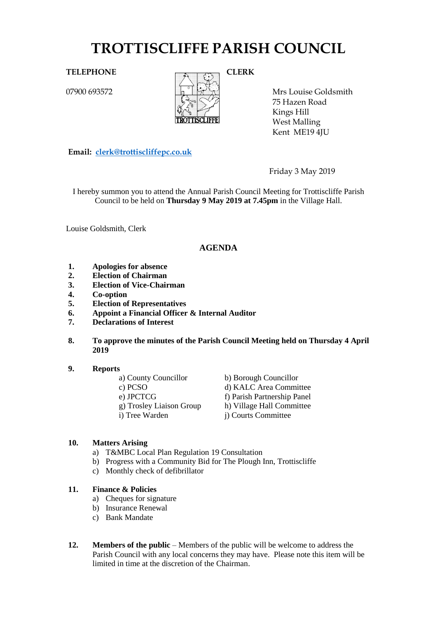# **TROTTISCLIFFE PARISH COUNCIL**

07900 693572



Mrs Louise Goldsmith 75 Hazen Road Kings Hill West Malling Kent ME19 4JU

**Email: [clerk@trottiscliffepc.co.uk](mailto:clerk@trottiscliffepc.co.uk)**

Friday 3 May 2019

I hereby summon you to attend the Annual Parish Council Meeting for Trottiscliffe Parish Council to be held on **Thursday 9 May 2019 at 7.45pm** in the Village Hall.

Louise Goldsmith, Clerk

# **AGENDA**

- **1. Apologies for absence**
- **2. Election of Chairman**
- **3. Election of Vice-Chairman**
- **4. Co-option**
- **5. Election of Representatives**
- **6. Appoint a Financial Officer & Internal Auditor**
- **7. Declarations of Interest**
- **8. To approve the minutes of the Parish Council Meeting held on Thursday 4 April 2019**
- **9. Reports**

| a) County Councillor     | b) Borough Councillor       |
|--------------------------|-----------------------------|
| c) PCSO                  | d) KALC Area Committee      |
| e) JPCTCG                | f) Parish Partnership Panel |
| g) Trosley Liaison Group | h) Village Hall Committee   |
| i) Tree Warden           | j) Courts Committee         |

#### **10. Matters Arising**

- a) T&MBC Local Plan Regulation 19 Consultation
- b) Progress with a Community Bid for The Plough Inn, Trottiscliffe
- c) Monthly check of defibrillator

#### **11. Finance & Policies**

- a) Cheques for signature
- b) Insurance Renewal
- c) Bank Mandate
- **12. Members of the public** Members of the public will be welcome to address the Parish Council with any local concerns they may have. Please note this item will be limited in time at the discretion of the Chairman.